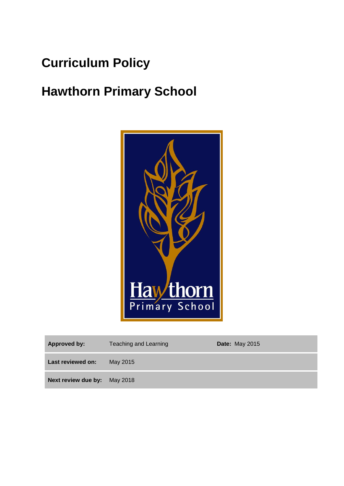## **Curriculum Policy**

# **Hawthorn Primary School**



| Approved by:                 | Teaching and Learning | <b>Date: May 2015</b> |
|------------------------------|-----------------------|-----------------------|
| Last reviewed on:            | May 2015              |                       |
| Next review due by: May 2018 |                       |                       |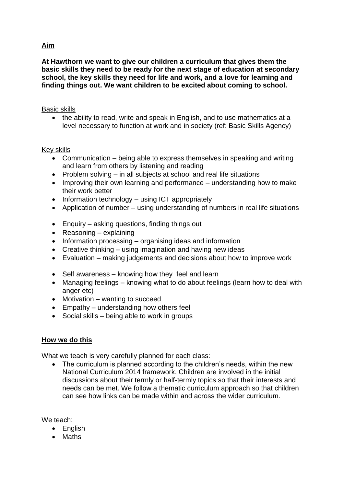## **Aim**

**At Hawthorn we want to give our children a curriculum that gives them the basic skills they need to be ready for the next stage of education at secondary school, the key skills they need for life and work, and a love for learning and finding things out. We want children to be excited about coming to school.**

## Basic skills

• the ability to read, write and speak in English, and to use mathematics at a level necessary to function at work and in society (ref: Basic Skills Agency)

## Key skills

- Communication being able to express themselves in speaking and writing and learn from others by listening and reading
- Problem solving in all subjects at school and real life situations
- Improving their own learning and performance understanding how to make their work better
- $\bullet$  Information technology using ICT appropriately
- Application of number using understanding of numbers in real life situations
- Enquiry asking questions, finding things out
- Reasoning explaining
- $\bullet$  Information processing organising ideas and information
- Creative thinking using imagination and having new ideas
- Evaluation making judgements and decisions about how to improve work
- Self awareness knowing how they feel and learn
- Managing feelings knowing what to do about feelings (learn how to deal with anger etc)
- Motivation wanting to succeed
- Empathy understanding how others feel
- $\bullet$  Social skills being able to work in groups

## **How we do this**

What we teach is very carefully planned for each class:

• The curriculum is planned according to the children's needs, within the new National Curriculum 2014 framework. Children are involved in the initial discussions about their termly or half-termly topics so that their interests and needs can be met. We follow a thematic curriculum approach so that children can see how links can be made within and across the wider curriculum.

We teach:

- English
- Maths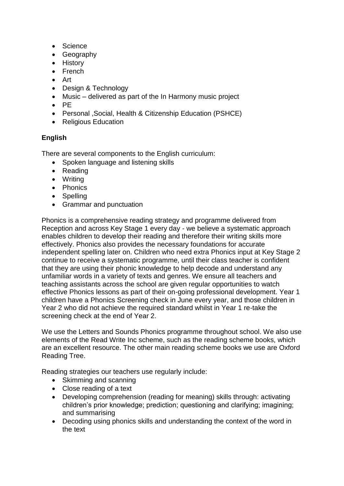- Science
- Geography
- History
- French
- Art
- Design & Technology
- Music delivered as part of the In Harmony music project
- $\bullet$  PF
- Personal ,Social, Health & Citizenship Education (PSHCE)
- Religious Education

## **English**

There are several components to the English curriculum:

- Spoken language and listening skills
- Reading
- Writing
- Phonics
- Spelling
- Grammar and punctuation

Phonics is a comprehensive reading strategy and programme delivered from Reception and across Key Stage 1 every day - we believe a systematic approach enables children to develop their reading and therefore their writing skills more effectively. Phonics also provides the necessary foundations for accurate independent spelling later on. Children who need extra Phonics input at Key Stage 2 continue to receive a systematic programme, until their class teacher is confident that they are using their phonic knowledge to help decode and understand any unfamiliar words in a variety of texts and genres. We ensure all teachers and teaching assistants across the school are given regular opportunities to watch effective Phonics lessons as part of their on-going professional development. Year 1 children have a Phonics Screening check in June every year, and those children in Year 2 who did not achieve the required standard whilst in Year 1 re-take the screening check at the end of Year 2.

We use the Letters and Sounds Phonics programme throughout school. We also use elements of the Read Write Inc scheme, such as the reading scheme books, which are an excellent resource. The other main reading scheme books we use are Oxford Reading Tree.

Reading strategies our teachers use regularly include:

- Skimming and scanning
- Close reading of a text
- Developing comprehension (reading for meaning) skills through: activating children's prior knowledge; prediction; questioning and clarifying; imagining; and summarising
- Decoding using phonics skills and understanding the context of the word in the text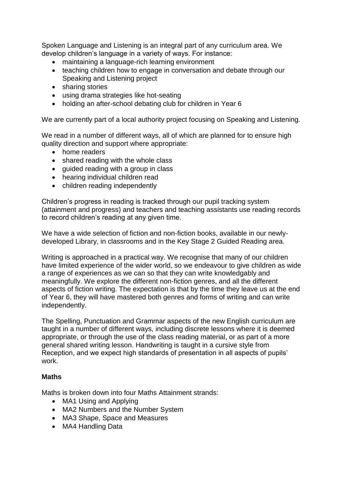Spoken Language and Listening is an integral part of any curriculum area. We develop children's language in a variety of ways. For instance:

- maintaining a language-rich learning environment
- teaching children how to engage in conversation and debate through our Speaking and Listening project
- sharing stories
- using drama strategies like hot-seating
- holding an after-school debating club for children in Year 6

We are currently part of a local authority project focusing on Speaking and Listening.

We read in a number of different ways, all of which are planned for to ensure high quality direction and support where appropriate:

- home readers
- shared reading with the whole class
- guided reading with a group in class
- hearing individual children read
- children reading independently

Children's progress in reading is tracked through our pupil tracking system (attainment and progress) and teachers and teaching assistants use reading records to record children's reading at any given time.

We have a wide selection of fiction and non-fiction books, available in our newlydeveloped Library, in classrooms and in the Key Stage 2 Guided Reading area.

Writing is approached in a practical way. We recognise that many of our children have limited experience of the wider world, so we endeavour to give children as wide a range of experiences as we can so that they can write knowledgably and meaningfully. We explore the different non-fiction genres, and all the different aspects of fiction writing. The expectation is that by the time they leave us at the end of Year 6, they will have mastered both genres and forms of writing and can write independently.

The Spelling, Punctuation and Grammar aspects of the new English curriculum are taught in a number of different ways, including discrete lessons where it is deemed appropriate, or through the use of the class reading material, or as part of a more general shared writing lesson. Handwriting is taught in a cursive style from Reception, and we expect high standards of presentation in all aspects of pupils' work.

## **Maths**

Maths is broken down into four Maths Attainment strands:

- MA1 Using and Applying
- MA2 Numbers and the Number System
- MA3 Shape, Space and Measures
- MA4 Handling Data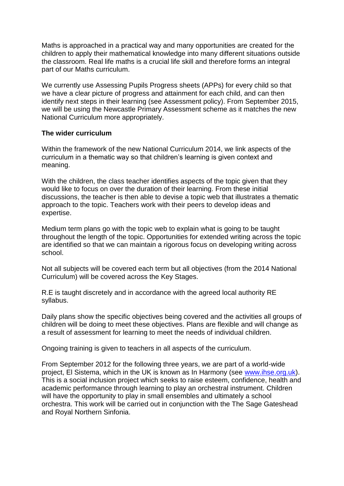Maths is approached in a practical way and many opportunities are created for the children to apply their mathematical knowledge into many different situations outside the classroom. Real life maths is a crucial life skill and therefore forms an integral part of our Maths curriculum.

We currently use Assessing Pupils Progress sheets (APPs) for every child so that we have a clear picture of progress and attainment for each child, and can then identify next steps in their learning (see Assessment policy). From September 2015, we will be using the Newcastle Primary Assessment scheme as it matches the new National Curriculum more appropriately.

## **The wider curriculum**

Within the framework of the new National Curriculum 2014, we link aspects of the curriculum in a thematic way so that children's learning is given context and meaning.

With the children, the class teacher identifies aspects of the topic given that they would like to focus on over the duration of their learning. From these initial discussions, the teacher is then able to devise a topic web that illustrates a thematic approach to the topic. Teachers work with their peers to develop ideas and expertise.

Medium term plans go with the topic web to explain what is going to be taught throughout the length of the topic. Opportunities for extended writing across the topic are identified so that we can maintain a rigorous focus on developing writing across school.

Not all subjects will be covered each term but all objectives (from the 2014 National Curriculum) will be covered across the Key Stages.

R.E is taught discretely and in accordance with the agreed local authority RE syllabus.

Daily plans show the specific objectives being covered and the activities all groups of children will be doing to meet these objectives. Plans are flexible and will change as a result of assessment for learning to meet the needs of individual children.

Ongoing training is given to teachers in all aspects of the curriculum.

From September 2012 for the following three years, we are part of a world-wide project, El Sistema, which in the UK is known as In Harmony (see [www.ihse.org.uk\)](http://www.ihse.org.uk/). This is a social inclusion project which seeks to raise esteem, confidence, health and academic performance through learning to play an orchestral instrument. Children will have the opportunity to play in small ensembles and ultimately a school orchestra. This work will be carried out in conjunction with the The Sage Gateshead and Royal Northern Sinfonia.